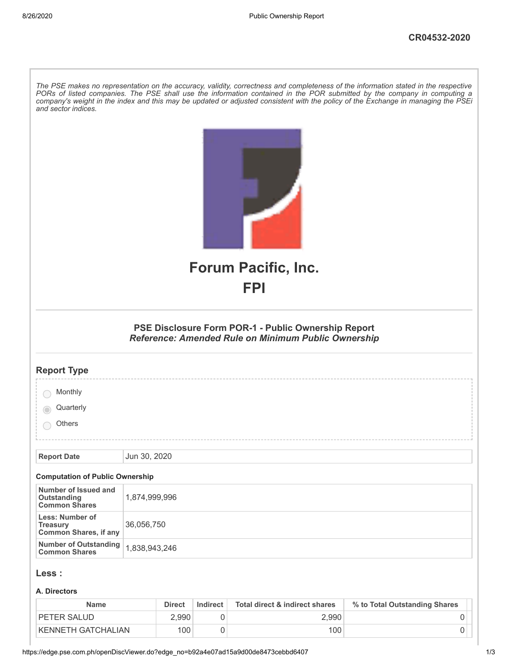| and sector indices.                                                | The PSE makes no representation on the accuracy, validity, correctness and completeness of the information stated in the respective<br>PORs of listed companies. The PSE shall use the information contained in the POR submitted by the company in computing a<br>company's weight in the index and this may be updated or adjusted consistent with the policy of the Exchange in managing the PSEi |
|--------------------------------------------------------------------|------------------------------------------------------------------------------------------------------------------------------------------------------------------------------------------------------------------------------------------------------------------------------------------------------------------------------------------------------------------------------------------------------|
|                                                                    | <b>Forum Pacific, Inc.</b>                                                                                                                                                                                                                                                                                                                                                                           |
|                                                                    | <b>FPI</b>                                                                                                                                                                                                                                                                                                                                                                                           |
|                                                                    | PSE Disclosure Form POR-1 - Public Ownership Report<br><b>Reference: Amended Rule on Minimum Public Ownership</b>                                                                                                                                                                                                                                                                                    |
| <b>Report Type</b>                                                 |                                                                                                                                                                                                                                                                                                                                                                                                      |
| Monthly                                                            |                                                                                                                                                                                                                                                                                                                                                                                                      |
| Quarterly                                                          |                                                                                                                                                                                                                                                                                                                                                                                                      |
| Others                                                             |                                                                                                                                                                                                                                                                                                                                                                                                      |
|                                                                    |                                                                                                                                                                                                                                                                                                                                                                                                      |
| <b>Report Date</b>                                                 | Jun 30, 2020                                                                                                                                                                                                                                                                                                                                                                                         |
| <b>Computation of Public Ownership</b>                             |                                                                                                                                                                                                                                                                                                                                                                                                      |
| Number of Issued and<br><b>Outstanding</b><br><b>Common Shares</b> | 1,874,999,996                                                                                                                                                                                                                                                                                                                                                                                        |
| Less: Number of<br><b>Treasury</b><br><b>Common Shares, if any</b> | 36,056,750                                                                                                                                                                                                                                                                                                                                                                                           |
| <b>Number of Outstanding</b><br><b>Common Shares</b>               | 1,838,943,246                                                                                                                                                                                                                                                                                                                                                                                        |
| Less :                                                             |                                                                                                                                                                                                                                                                                                                                                                                                      |
| A. Directors                                                       |                                                                                                                                                                                                                                                                                                                                                                                                      |

| <b>Name</b>        | <b>Direct</b>      | Indirect | Total direct & indirect shares | % to Total Outstanding Shares |  |
|--------------------|--------------------|----------|--------------------------------|-------------------------------|--|
| <b>PETER SALUD</b> | $\angle .990^\top$ |          | 2.990                          |                               |  |
| KENNETH GATCHALIAN | 100                |          | 100                            |                               |  |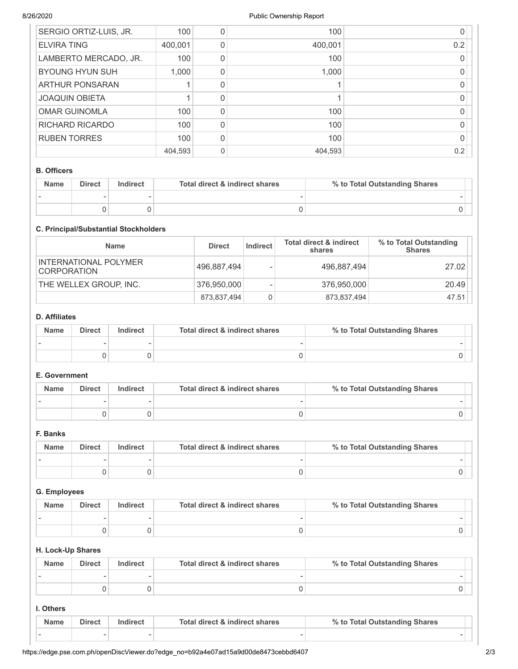| SERGIO ORTIZ-LUIS, JR. | 100     | 100     |     |
|------------------------|---------|---------|-----|
| <b>ELVIRA TING</b>     | 400,001 | 400,001 | 0.2 |
| LAMBERTO MERCADO, JR.  | 100     | 100     |     |
| <b>BYOUNG HYUN SUH</b> | 1,000   | 1,000   |     |
| <b>ARTHUR PONSARAN</b> |         |         |     |
| <b>JOAQUIN OBIETA</b>  |         |         |     |
| <b>OMAR GUINOMLA</b>   | 100     | 100     |     |
| <b>RICHARD RICARDO</b> | 100     | 100     |     |
| <b>RUBEN TORRES</b>    | 100     | 100     |     |
|                        | 404,593 | 404,593 | 0.2 |

#### B. Officers

| <b>Name</b> | <b>Direct</b> | Total direct & indirect shares<br>Indirect |  | % to Total Outstanding Shares |
|-------------|---------------|--------------------------------------------|--|-------------------------------|
|             |               |                                            |  |                               |
|             |               |                                            |  |                               |

## C. Principal/Substantial Stockholders

| <b>Name</b>                                 | <b>Direct</b> | Indirect | <b>Total direct &amp; indirect</b><br>shares | % to Total Outstanding<br><b>Shares</b> |
|---------------------------------------------|---------------|----------|----------------------------------------------|-----------------------------------------|
| INTERNATIONAL POLYMER<br><b>CORPORATION</b> | 496,887,494   |          | 496,887,494                                  | 27.02                                   |
| THE WELLEX GROUP, INC.                      | 376,950,000   |          | 376,950,000                                  | 20.49                                   |
|                                             | 873,837,494   | 0        | 873,837,494                                  | 47.51                                   |

## D. Affiliates

| <b>Name</b> | <b>Direct</b> | Indirect | Total direct & indirect shares | % to Total Outstanding Shares |  |
|-------------|---------------|----------|--------------------------------|-------------------------------|--|
|             |               |          |                                |                               |  |
|             |               |          |                                |                               |  |

## E. Government

| <b>Name</b> | <b>Direct</b> | Indirect | Total direct & indirect shares | % to Total Outstanding Shares |
|-------------|---------------|----------|--------------------------------|-------------------------------|
|             |               |          |                                |                               |
|             |               |          |                                |                               |

# F. Banks

| <b>Name</b> | <b>Direct</b> | Total direct & indirect shares<br>Indirect |  | % to Total Outstanding Shares |
|-------------|---------------|--------------------------------------------|--|-------------------------------|
|             |               |                                            |  |                               |
|             |               |                                            |  |                               |

### G. Employees

| <b>Name</b> | <b>Direct</b> | Indirect | Total direct & indirect shares | % to Total Outstanding Shares |
|-------------|---------------|----------|--------------------------------|-------------------------------|
|             |               |          |                                |                               |
|             |               |          |                                |                               |

## H. Lock-Up Shares

| <b>Name</b> | <b>Direct</b> | Indirect | Total direct & indirect shares | % to Total Outstanding Shares |  |
|-------------|---------------|----------|--------------------------------|-------------------------------|--|
|             |               |          |                                |                               |  |
|             |               |          |                                |                               |  |

### I. Others

| Name | <b>Direct</b>            | <b>ndirect</b> | Total direct & indirect shares | % to Total Outstanding Shares |  |
|------|--------------------------|----------------|--------------------------------|-------------------------------|--|
|      | $\overline{\phantom{a}}$ |                |                                | -                             |  |